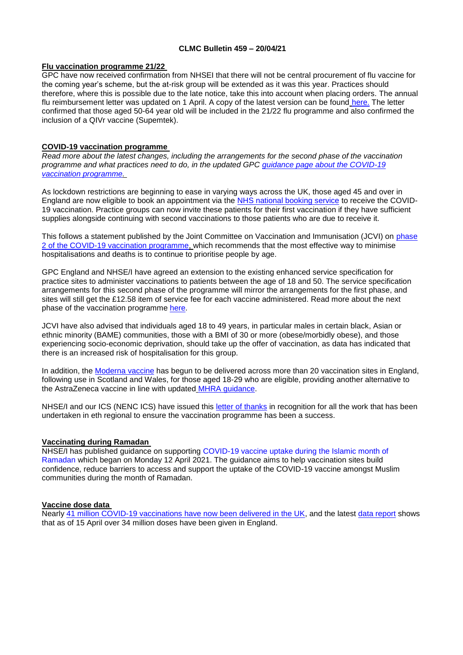### **CLMC Bulletin 459 – 20/04/21**

## **Flu vaccination programme 21/22**

GPC have now received confirmation from NHSEI that there will not be central procurement of flu vaccine for the coming year's scheme, but the at-risk group will be extended as it was this year. Practices should therefore, where this is possible due to the late notice, take this into account when placing orders. The annual flu reimbursement letter was updated on 1 April. A copy of the latest version can be found [here.](https://www.england.nhs.uk/publication/achievements-and-developments-during-2020-21-flu-season/) The letter confirmed that those aged 50-64 year old will be included in the 21/22 flu programme and also confirmed the inclusion of a QIVr vaccine (Supemtek).

# **COVID-19 vaccination programme**

*Read more about the latest changes, including the arrangements for the second phase of the vaccination programme and what practices need to do, in the updated GPC [guidance page about the COVID-19](https://www.bma.org.uk/advice-and-support/covid-19/gp-practices/covid-19-vaccination-programme)  [vaccination programme.](https://www.bma.org.uk/advice-and-support/covid-19/gp-practices/covid-19-vaccination-programme)*

As lockdown restrictions are beginning to ease in varying ways across the UK, those aged 45 and over in England are now eligible to book an appointment via the [NHS national booking service](https://www.nhs.uk/conditions/coronavirus-covid-19/coronavirus-vaccination/book-coronavirus-vaccination/) to receive the COVID-19 vaccination. Practice groups can now invite these patients for their first vaccination if they have sufficient supplies alongside continuing with second vaccinations to those patients who are due to receive it.

This follows a statement published by the Joint Committee on Vaccination and Immunisation (JCVI) on [phase](https://www.gov.uk/government/publications/priority-groups-for-phase-2-of-the-coronavirus-covid-19-vaccination-programme-advice-from-the-jcvi)  [2 of the COVID-19 vaccination programme,](https://www.gov.uk/government/publications/priority-groups-for-phase-2-of-the-coronavirus-covid-19-vaccination-programme-advice-from-the-jcvi) which recommends that the most effective way to minimise hospitalisations and deaths is to continue to prioritise people by age.

GPC England and NHSE/I have agreed an extension to the existing enhanced service specification for practice sites to administer vaccinations to patients between the age of 18 and 50. The service specification arrangements for this second phase of the programme will mirror the arrangements for the first phase, and sites will still get the £12.58 item of service fee for each vaccine administered. Read more about the next phase of the vaccination programme [here.](https://www.england.nhs.uk/coronavirus/publication/next-phase-of-nhs-covid-19-vaccination-campaign/)

JCVI have also advised that individuals aged 18 to 49 years, in particular males in certain black, Asian or ethnic minority (BAME) communities, those with a BMI of 30 or more (obese/morbidly obese), and those experiencing socio-economic deprivation, should take up the offer of vaccination, as data has indicated that there is an increased risk of hospitalisation for this group.

In addition, the [Moderna vaccine](https://www.england.nhs.uk/2021/04/moderna-jabs-mark-new-milestone-in-nhs-vaccination-programme/) has begun to be delivered across more than 20 vaccination sites in England, following use in Scotland and Wales, for those aged 18-29 who are eligible, providing another alternative to the AstraZeneca vaccine in line with updated [MHRA guidance.](https://www.gov.uk/government/publications/covid-19-vaccination-and-blood-clotting/covid-19-vaccination-and-blood-clotting)

NHSE/I and our ICS (NENC ICS) have issued this [letter of thanks](https://www.clevelandlmc.org.uk/website/IGP367/files/Covid%20vacc.pdf) in recognition for all the work that has been undertaken in eth regional to ensure the vaccination programme has been a success.

# **Vaccinating during Ramadan**

NHSE/I has published guidance on supporting [COVID-19 vaccine uptake during the Islamic month of](https://www.england.nhs.uk/coronavirus/publication/supporting-covid-19-vaccine-uptake-during-ramadan/)  [Ramadan](https://www.england.nhs.uk/coronavirus/publication/supporting-covid-19-vaccine-uptake-during-ramadan/) which began on Monday 12 April 2021. The guidance aims to help vaccination sites build confidence, reduce barriers to access and support the uptake of the COVID-19 vaccine amongst Muslim communities during the month of Ramadan.

# **Vaccine dose data**

Nearly [41 million COVID-19 vaccinations have now been delivered in the UK,](https://coronavirus.data.gov.uk/details/vaccinations) and the latest [data report](https://www.england.nhs.uk/statistics/statistical-work-areas/covid-19-vaccinations/) shows that as of 15 April over 34 million doses have been given in England.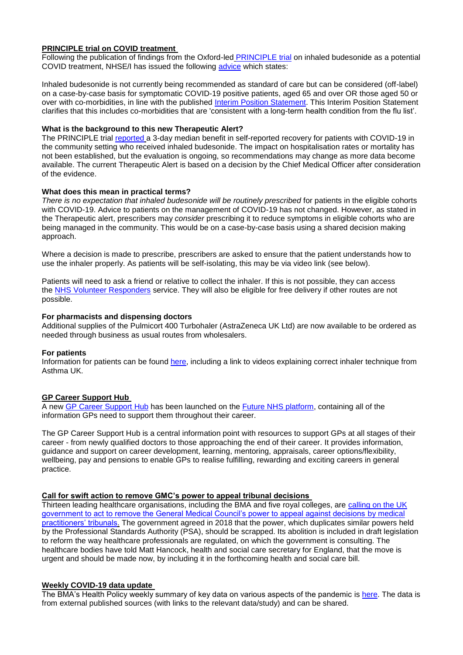# **PRINCIPLE trial on COVID treatment**

Following the publication of findings from the Oxford-led [PRINCIPLE trial](https://www.principletrial.org/news/asthma-drug-budesonide-shortens-recovery-time-in-non-hospitalised-patients-with-covid-19) on inhaled budesonide as a potential COVID treatment, NHSE/I has issued the following [advice](https://www.cas.mhra.gov.uk/ViewandAcknowledgment/ViewAlert.aspx?AlertID=103154) which states:

Inhaled budesonide is not currently being recommended as standard of care but can be considered (off-label) on a case-by-case basis for symptomatic COVID-19 positive patients, aged 65 and over OR those aged 50 or over with co-morbidities, in line with the published [Interim Position Statement.](https://www.cas.mhra.gov.uk/ViewandAcknowledgment/ViewAttachment.aspx?Attachment_id=103796) This Interim Position Statement clarifies that this includes co-morbidities that are 'consistent with a long-term health condition from the flu list'.

## **What is the background to this new Therapeutic Alert?**

The PRINCIPLE trial [reported](https://www.principletrial.org/results) a 3-day median benefit in self-reported recovery for patients with COVID-19 in the community setting who received inhaled budesonide. The impact on hospitalisation rates or mortality has not been established, but the evaluation is ongoing, so recommendations may change as more data become available. The current Therapeutic Alert is based on a decision by the Chief Medical Officer after consideration of the evidence.

## **What does this mean in practical terms?**

*There is no expectation that inhaled budesonide will be routinely prescribed* for patients in the eligible cohorts with COVID-19. Advice to patients on the management of COVID-19 has not changed. However, as stated in the Therapeutic alert, prescribers may *consider* prescribing it to reduce symptoms in eligible cohorts who are being managed in the community. This would be on a case-by-case basis using a shared decision making approach.

Where a decision is made to prescribe, prescribers are asked to ensure that the patient understands how to use the inhaler properly. As patients will be self-isolating, this may be via video link (see below).

Patients will need to ask a friend or relative to collect the inhaler. If this is not possible, they can access the [NHS Volunteer Responders](https://nhsvolunteerresponders.org.uk/referral) service. They will also be eligible for free delivery if other routes are not possible.

# **For pharmacists and dispensing doctors**

Additional supplies of the Pulmicort 400 Turbohaler (AstraZeneca UK Ltd) are now available to be ordered as needed through business as usual routes from wholesalers.

#### **For patients**

Information for patients can be found [here,](https://www.nhs.uk/medicines/budesonide-inhalers/) including a link to videos explaining correct inhaler technique from Asthma UK.

# **GP Career Support Hub**

A new [GP Career Support Hub](https://future.nhs.uk/GPCS/groupHome) has been launched on the [Future NHS platform,](https://future.nhs.uk/GPCS) containing all of the information GPs need to support them throughout their career.

The GP Career Support Hub is a central information point with resources to support GPs at all stages of their career - from newly qualified doctors to those approaching the end of their career. It provides information, guidance and support on career development, learning, mentoring, appraisals, career options/flexibility, wellbeing, pay and pensions to enable GPs to realise fulfilling, rewarding and exciting careers in general practice.

#### **Call for swift action to remove GMC's power to appeal tribunal decisions**

Thirteen leading healthcare organisations, including the BMA and five royal colleges, are calling on the UK [government to act to remove the General Medical Council's power to appeal against decisions](https://www.bmj.com/content/373/bmj.n903) by medical [practitioners' tribunals.](https://www.bmj.com/content/373/bmj.n903) The government agreed in 2018 that the power, which duplicates similar powers held by the Professional Standards Authority (PSA), should be scrapped. Its abolition is included in draft legislation to reform the way healthcare professionals are regulated, on which the government is consulting. The healthcare bodies have told Matt Hancock, health and social care secretary for England, that the move is urgent and should be made now, by including it in the forthcoming health and social care bill.

#### **Weekly COVID-19 data update**

The BMA's Health Policy weekly summary of key data on various aspects of the pandemic is [here.](https://www.clevelandlmc.org.uk/website/IGP367/files/Weekly%20Covid-19%20data%20update%20-%2016%20Apr.pptx) The data is from external published sources (with links to the relevant data/study) and can be shared.